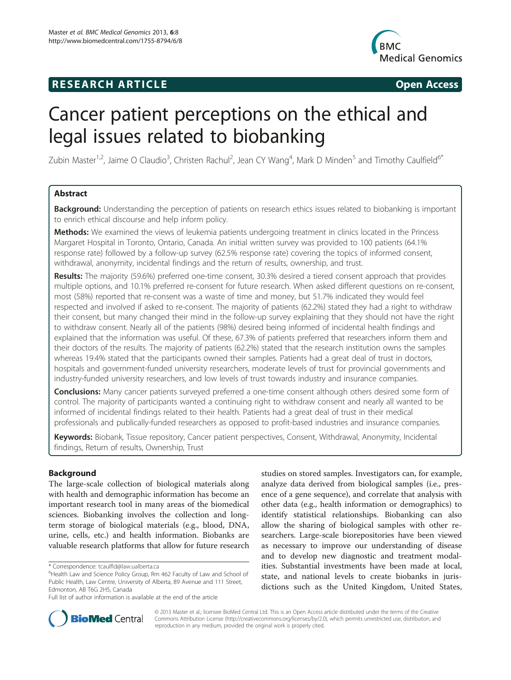# **RESEARCH ARTICLE Example 2014 CONSIDERING CONSIDERING CONSIDERING CONSIDERING CONSIDERING CONSIDERING CONSIDERING CONSIDERING CONSIDERING CONSIDERING CONSIDERING CONSIDERING CONSIDERING CONSIDERING CONSIDERING CONSIDE**



# Cancer patient perceptions on the ethical and legal issues related to biobanking

Zubin Master<sup>1,2</sup>, Jaime O Claudio<sup>3</sup>, Christen Rachul<sup>2</sup>, Jean CY Wang<sup>4</sup>, Mark D Minden<sup>5</sup> and Timothy Caulfield<sup>6\*</sup>

# Abstract

Background: Understanding the perception of patients on research ethics issues related to biobanking is important to enrich ethical discourse and help inform policy.

Methods: We examined the views of leukemia patients undergoing treatment in clinics located in the Princess Margaret Hospital in Toronto, Ontario, Canada. An initial written survey was provided to 100 patients (64.1% response rate) followed by a follow-up survey (62.5% response rate) covering the topics of informed consent, withdrawal, anonymity, incidental findings and the return of results, ownership, and trust.

Results: The majority (59.6%) preferred one-time consent, 30.3% desired a tiered consent approach that provides multiple options, and 10.1% preferred re-consent for future research. When asked different questions on re-consent, most (58%) reported that re-consent was a waste of time and money, but 51.7% indicated they would feel respected and involved if asked to re-consent. The majority of patients (62.2%) stated they had a right to withdraw their consent, but many changed their mind in the follow-up survey explaining that they should not have the right to withdraw consent. Nearly all of the patients (98%) desired being informed of incidental health findings and explained that the information was useful. Of these, 67.3% of patients preferred that researchers inform them and their doctors of the results. The majority of patients (62.2%) stated that the research institution owns the samples whereas 19.4% stated that the participants owned their samples. Patients had a great deal of trust in doctors, hospitals and government-funded university researchers, moderate levels of trust for provincial governments and industry-funded university researchers, and low levels of trust towards industry and insurance companies.

**Conclusions:** Many cancer patients surveyed preferred a one-time consent although others desired some form of control. The majority of participants wanted a continuing right to withdraw consent and nearly all wanted to be informed of incidental findings related to their health. Patients had a great deal of trust in their medical professionals and publically-funded researchers as opposed to profit-based industries and insurance companies.

Keywords: Biobank, Tissue repository, Cancer patient perspectives, Consent, Withdrawal, Anonymity, Incidental findings, Return of results, Ownership, Trust

# Background

The large-scale collection of biological materials along with health and demographic information has become an important research tool in many areas of the biomedical sciences. Biobanking involves the collection and longterm storage of biological materials (e.g., blood, DNA, urine, cells, etc.) and health information. Biobanks are valuable research platforms that allow for future research studies on stored samples. Investigators can, for example, analyze data derived from biological samples (i.e., presence of a gene sequence), and correlate that analysis with other data (e.g., health information or demographics) to identify statistical relationships. Biobanking can also allow the sharing of biological samples with other researchers. Large-scale biorepositories have been viewed as necessary to improve our understanding of disease and to develop new diagnostic and treatment modalities. Substantial investments have been made at local, state, and national levels to create biobanks in jurisdictions such as the United Kingdom, United States,



© 2013 Master et al.; licensee BioMed Central Ltd. This is an Open Access article distributed under the terms of the Creative Commons Attribution License [\(http://creativecommons.org/licenses/by/2.0\)](http://creativecommons.org/licenses/by/2.0), which permits unrestricted use, distribution, and reproduction in any medium, provided the original work is properly cited.

<sup>\*</sup> Correspondence: [tcaulfld@law.ualberta.ca](mailto:tcaulfld@law.ualberta.ca) <sup>6</sup>

<sup>&</sup>lt;sup>6</sup>Health Law and Science Policy Group, Rm 462 Faculty of Law and School of Public Health, Law Centre, University of Alberta, 89 Avenue and 111 Street, Edmonton, AB T6G 2H5, Canada

Full list of author information is available at the end of the article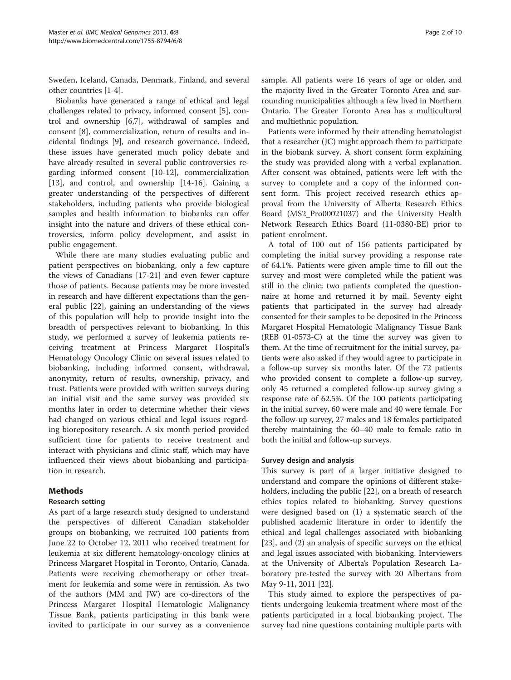Sweden, Iceland, Canada, Denmark, Finland, and several other countries [[1-4](#page-8-0)].

Biobanks have generated a range of ethical and legal challenges related to privacy, informed consent [\[5](#page-8-0)], control and ownership [\[6,7](#page-8-0)], withdrawal of samples and consent [[8\]](#page-9-0), commercialization, return of results and incidental findings [[9\]](#page-9-0), and research governance. Indeed, these issues have generated much policy debate and have already resulted in several public controversies regarding informed consent [[10-12](#page-9-0)], commercialization [[13\]](#page-9-0), and control, and ownership [[14-16](#page-9-0)]. Gaining a greater understanding of the perspectives of different stakeholders, including patients who provide biological samples and health information to biobanks can offer insight into the nature and drivers of these ethical controversies, inform policy development, and assist in public engagement.

While there are many studies evaluating public and patient perspectives on biobanking, only a few capture the views of Canadians [\[17](#page-9-0)-[21\]](#page-9-0) and even fewer capture those of patients. Because patients may be more invested in research and have different expectations than the general public [[22](#page-9-0)], gaining an understanding of the views of this population will help to provide insight into the breadth of perspectives relevant to biobanking. In this study, we performed a survey of leukemia patients receiving treatment at Princess Margaret Hospital's Hematology Oncology Clinic on several issues related to biobanking, including informed consent, withdrawal, anonymity, return of results, ownership, privacy, and trust. Patients were provided with written surveys during an initial visit and the same survey was provided six months later in order to determine whether their views had changed on various ethical and legal issues regarding biorepository research. A six month period provided sufficient time for patients to receive treatment and interact with physicians and clinic staff, which may have influenced their views about biobanking and participation in research.

# Methods

# Research setting

As part of a large research study designed to understand the perspectives of different Canadian stakeholder groups on biobanking, we recruited 100 patients from June 22 to October 12, 2011 who received treatment for leukemia at six different hematology-oncology clinics at Princess Margaret Hospital in Toronto, Ontario, Canada. Patients were receiving chemotherapy or other treatment for leukemia and some were in remission. As two of the authors (MM and JW) are co-directors of the Princess Margaret Hospital Hematologic Malignancy Tissue Bank, patients participating in this bank were invited to participate in our survey as a convenience sample. All patients were 16 years of age or older, and the majority lived in the Greater Toronto Area and surrounding municipalities although a few lived in Northern Ontario. The Greater Toronto Area has a multicultural and multiethnic population.

Patients were informed by their attending hematologist that a researcher (JC) might approach them to participate in the biobank survey. A short consent form explaining the study was provided along with a verbal explanation. After consent was obtained, patients were left with the survey to complete and a copy of the informed consent form. This project received research ethics approval from the University of Alberta Research Ethics Board (MS2\_Pro00021037) and the University Health Network Research Ethics Board (11-0380-BE) prior to patient enrolment.

A total of 100 out of 156 patients participated by completing the initial survey providing a response rate of 64.1%. Patients were given ample time to fill out the survey and most were completed while the patient was still in the clinic; two patients completed the questionnaire at home and returned it by mail. Seventy eight patients that participated in the survey had already consented for their samples to be deposited in the Princess Margaret Hospital Hematologic Malignancy Tissue Bank (REB 01-0573-C) at the time the survey was given to them. At the time of recruitment for the initial survey, patients were also asked if they would agree to participate in a follow-up survey six months later. Of the 72 patients who provided consent to complete a follow-up survey, only 45 returned a completed follow-up survey giving a response rate of 62.5%. Of the 100 patients participating in the initial survey, 60 were male and 40 were female. For the follow-up survey, 27 males and 18 females participated thereby maintaining the 60–40 male to female ratio in both the initial and follow-up surveys.

# Survey design and analysis

This survey is part of a larger initiative designed to understand and compare the opinions of different stakeholders, including the public [\[22\]](#page-9-0), on a breath of research ethics topics related to biobanking. Survey questions were designed based on (1) a systematic search of the published academic literature in order to identify the ethical and legal challenges associated with biobanking [[23\]](#page-9-0), and (2) an analysis of specific surveys on the ethical and legal issues associated with biobanking. Interviewers at the University of Alberta's Population Research Laboratory pre-tested the survey with 20 Albertans from May 9-11, 2011 [[22\]](#page-9-0).

This study aimed to explore the perspectives of patients undergoing leukemia treatment where most of the patients participated in a local biobanking project. The survey had nine questions containing multiple parts with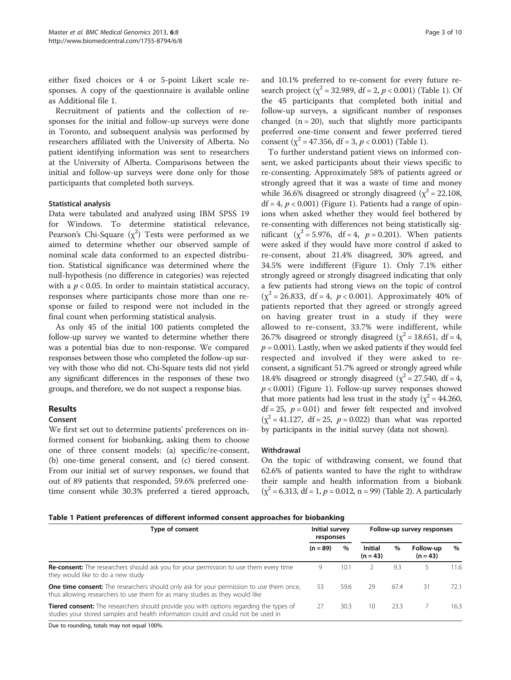either fixed choices or 4 or 5-point Likert scale responses. A copy of the questionnaire is available online as Additional file [1](#page-8-0).

Recruitment of patients and the collection of responses for the initial and follow-up surveys were done in Toronto, and subsequent analysis was performed by researchers affiliated with the University of Alberta. No patient identifying information was sent to researchers at the University of Alberta. Comparisons between the initial and follow-up surveys were done only for those participants that completed both surveys.

#### Statistical analysis

Data were tabulated and analyzed using IBM SPSS 19 for Windows. To determine statistical relevance, Pearson's Chi-Square  $(\chi^2)$  Tests were performed as we aimed to determine whether our observed sample of nominal scale data conformed to an expected distribution. Statistical significance was determined where the null-hypothesis (no difference in categories) was rejected with a  $p < 0.05$ . In order to maintain statistical accuracy, responses where participants chose more than one response or failed to respond were not included in the final count when performing statistical analysis.

As only 45 of the initial 100 patients completed the follow-up survey we wanted to determine whether there was a potential bias due to non-response. We compared responses between those who completed the follow-up survey with those who did not. Chi-Square tests did not yield any significant differences in the responses of these two groups, and therefore, we do not suspect a response bias.

# Results

#### Consent

We first set out to determine patients' preferences on informed consent for biobanking, asking them to choose one of three consent models: (a) specific/re-consent, (b) one-time general consent, and (c) tiered consent. From our initial set of survey responses, we found that out of 89 patients that responded, 59.6% preferred onetime consent while 30.3% preferred a tiered approach,

and 10.1% preferred to re-consent for every future research project ( $\chi^2$  = 32.989, df = 2, p < 0.001) (Table 1). Of the 45 participants that completed both initial and follow-up surveys, a significant number of responses changed  $(n = 20)$ , such that slightly more participants preferred one-time consent and fewer preferred tiered consent ( $\chi^2$  = 47.356, df = 3, p < 0.001) (Table 1).

To further understand patient views on informed consent, we asked participants about their views specific to re-consenting. Approximately 58% of patients agreed or strongly agreed that it was a waste of time and money while 36.6% disagreed or strongly disagreed ( $\chi^2$  = 22.108,  $df = 4$ ,  $p < 0.001$ ) (Figure [1](#page-3-0)). Patients had a range of opinions when asked whether they would feel bothered by re-consenting with differences not being statistically significant ( $\chi^2$  = 5.976, df = 4, p = 0.201). When patients were asked if they would have more control if asked to re-consent, about 21.4% disagreed, 30% agreed, and 34.5% were indifferent (Figure [1\)](#page-3-0). Only 7.1% either strongly agreed or strongly disagreed indicating that only a few patients had strong views on the topic of control  $(x^{2} = 26.833, df = 4, p < 0.001)$ . Approximately 40% of patients reported that they agreed or strongly agreed on having greater trust in a study if they were allowed to re-consent, 33.7% were indifferent, while 26.7% disagreed or strongly disagreed ( $\chi^2$  = 18.651, df = 4,  $p = 0.001$ ). Lastly, when we asked patients if they would feel respected and involved if they were asked to reconsent, a significant 51.7% agreed or strongly agreed while 18.4% disagreed or strongly disagreed ( $\chi^2$  = 27.540, df = 4,  $p < 0.001$ ) (Figure [1\)](#page-3-0). Follow-up survey responses showed that more patients had less trust in the study ( $\chi^2$  = 44.260,  $df = 25$ ,  $p = 0.01$ ) and fewer felt respected and involved  $(\chi^2 = 41.127, df = 25, p = 0.022)$  than what was reported by participants in the initial survey (data not shown).

#### Withdrawal

On the topic of withdrawing consent, we found that 62.6% of patients wanted to have the right to withdraw their sample and health information from a biobank  $(\chi^2 = 6.313, df = 1, p = 0.012, n = 99)$  (Table [2\)](#page-3-0). A particularly

|  |  |  |  |  |  |  | Table 1 Patient preferences of different informed consent approaches for biobanking |
|--|--|--|--|--|--|--|-------------------------------------------------------------------------------------|
|--|--|--|--|--|--|--|-------------------------------------------------------------------------------------|

| iawie i i autoill pieleithegy yn annerent mhyrmea twnyent approachty ivr wiowanning                                                                                                |                             |      |                            |      |                         |      |  |  |
|------------------------------------------------------------------------------------------------------------------------------------------------------------------------------------|-----------------------------|------|----------------------------|------|-------------------------|------|--|--|
| Type of consent                                                                                                                                                                    | Initial survey<br>responses |      | Follow-up survey responses |      |                         |      |  |  |
|                                                                                                                                                                                    | $(n = 89)$                  | %    | Initial<br>$(n = 43)$      | $\%$ | Follow-up<br>$(n = 43)$ | $\%$ |  |  |
| <b>Re-consent:</b> The researchers should ask you for your permission to use them every time<br>they would like to do a new study                                                  |                             | 10.1 |                            | 9.3  | 5                       | 11.6 |  |  |
| <b>One time consent:</b> The researchers should only ask for your permission to use them once,<br>thus allowing researchers to use them for as many studies as they would like     | 53                          | 59.6 | 29                         | 67.4 | 31                      | 72.1 |  |  |
| <b>Tiered consent:</b> The researchers should provide you with options regarding the types of<br>studies your stored samples and health information could and could not be used in | 27                          | 30.3 | 10                         | 23.3 |                         | 16.3 |  |  |

Due to rounding, totals may not equal 100%.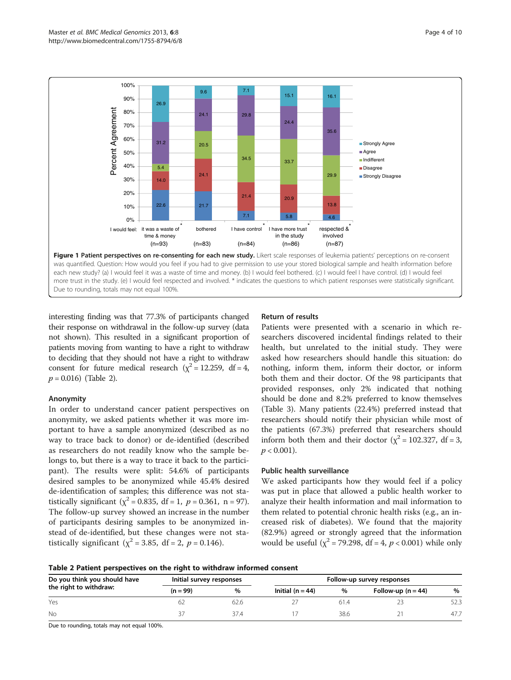<span id="page-3-0"></span>

interesting finding was that 77.3% of participants changed their response on withdrawal in the follow-up survey (data not shown). This resulted in a significant proportion of patients moving from wanting to have a right to withdraw to deciding that they should not have a right to withdraw consent for future medical research ( $\chi^2$  = 12.259, df = 4,  $p = 0.016$  (Table 2).

#### Anonymity

In order to understand cancer patient perspectives on anonymity, we asked patients whether it was more important to have a sample anonymized (described as no way to trace back to donor) or de-identified (described as researchers do not readily know who the sample belongs to, but there is a way to trace it back to the participant). The results were split: 54.6% of participants desired samples to be anonymized while 45.4% desired de-identification of samples; this difference was not statistically significant ( $\chi^2$  = 0.835, df = 1, p = 0.361, n = 97). The follow-up survey showed an increase in the number of participants desiring samples to be anonymized instead of de-identified, but these changes were not statistically significant ( $\chi^2$  = 3.85, df = 2, p = 0.146).

#### Return of results

Patients were presented with a scenario in which researchers discovered incidental findings related to their health, but unrelated to the initial study. They were asked how researchers should handle this situation: do nothing, inform them, inform their doctor, or inform both them and their doctor. Of the 98 participants that provided responses, only 2% indicated that nothing should be done and 8.2% preferred to know themselves (Table [3](#page-4-0)). Many patients (22.4%) preferred instead that researchers should notify their physician while most of the patients (67.3%) preferred that researchers should inform both them and their doctor ( $\chi^2$  = 102.327, df = 3,  $p < 0.001$ ).

#### Public health surveillance

We asked participants how they would feel if a policy was put in place that allowed a public health worker to analyze their health information and mail information to them related to potential chronic health risks (e.g., an increased risk of diabetes). We found that the majority (82.9%) agreed or strongly agreed that the information would be useful ( $\chi^2$  = 79.298, df = 4, p < 0.001) while only

|  |  |  | Table 2 Patient perspectives on the right to withdraw informed consent |  |
|--|--|--|------------------------------------------------------------------------|--|
|--|--|--|------------------------------------------------------------------------|--|

| Do you think you should have | Initial survey responses |      | Follow-up survey responses |      |                      |      |  |  |
|------------------------------|--------------------------|------|----------------------------|------|----------------------|------|--|--|
| the right to withdraw:       | $(n = 99)$               | %    | Initial $(n = 44)$         | %    | Follow-up $(n = 44)$ | $\%$ |  |  |
| Yes                          |                          | 62.6 |                            | 61.4 |                      | 52.3 |  |  |
| No                           |                          | 37.4 |                            | 38.6 |                      | 47.7 |  |  |

Due to rounding, totals may not equal 100%.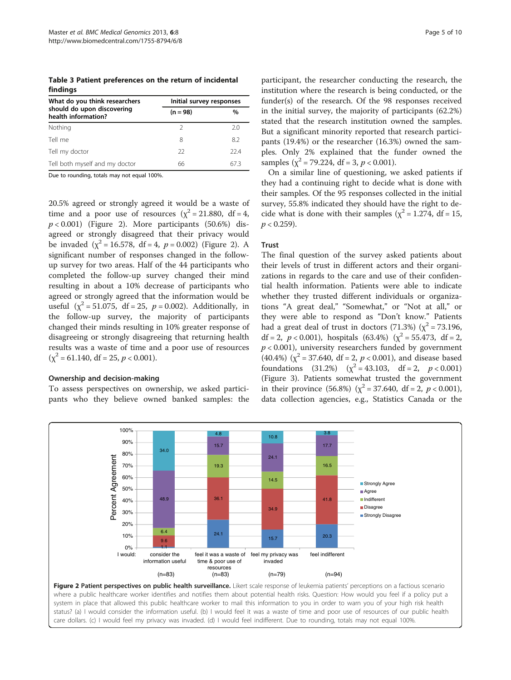<span id="page-4-0"></span>Table 3 Patient preferences on the return of incidental findings

| What do you think researchers                     | Initial survey responses |      |  |  |
|---------------------------------------------------|--------------------------|------|--|--|
| should do upon discovering<br>health information? | $(n = 98)$               | %    |  |  |
| Nothing                                           | 2                        | 2.0  |  |  |
| Tell me                                           | 8                        | 8.2  |  |  |
| Tell my doctor                                    | 22                       | 22.4 |  |  |
| Tell both myself and my doctor                    | 66                       | 673  |  |  |

Due to rounding, totals may not equal 100%.

20.5% agreed or strongly agreed it would be a waste of time and a poor use of resources ( $\chi^2 = 21.880$ , df = 4,  $p < 0.001$ ) (Figure 2). More participants (50.6%) disagreed or strongly disagreed that their privacy would be invaded ( $\chi^2 = 16.578$ , df = 4,  $p = 0.002$ ) (Figure 2). A significant number of responses changed in the followup survey for two areas. Half of the 44 participants who completed the follow-up survey changed their mind resulting in about a 10% decrease of participants who agreed or strongly agreed that the information would be useful  $(\chi^2 = 51.075, df = 25, p = 0.002)$ . Additionally, in the follow-up survey, the majority of participants changed their minds resulting in 10% greater response of disagreeing or strongly disagreeing that returning health results was a waste of time and a poor use of resources  $(\chi^2 = 61.140, df = 25, p < 0.001).$ 

#### Ownership and decision-making

To assess perspectives on ownership, we asked participants who they believe owned banked samples: the

participant, the researcher conducting the research, the institution where the research is being conducted, or the funder(s) of the research. Of the 98 responses received in the initial survey, the majority of participants (62.2%) stated that the research institution owned the samples. But a significant minority reported that research participants (19.4%) or the researcher (16.3%) owned the samples. Only 2% explained that the funder owned the samples  $(\chi^2 = 79.224, df = 3, p < 0.001)$ .

On a similar line of questioning, we asked patients if they had a continuing right to decide what is done with their samples. Of the 95 responses collected in the initial survey, 55.8% indicated they should have the right to decide what is done with their samples ( $\chi^2$  = 1.274, df = 15,  $p < 0.259$ ).

# Trust

The final question of the survey asked patients about their levels of trust in different actors and their organizations in regards to the care and use of their confidential health information. Patients were able to indicate whether they trusted different individuals or organizations "A great deal," "Somewhat," or "Not at all," or they were able to respond as "Don't know." Patients had a great deal of trust in doctors (71.3%) ( $\chi^2$  = 73.196, df = 2,  $p < 0.001$ ), hospitals (63.4%) ( $\chi^2$  = 55.473, df = 2,  $p < 0.001$ ), university researchers funded by government (40.4%) ( $\chi^2$  = 37.640, df = 2, p < 0.001), and disease based foundations (31.2%)  $(\chi^2 = 43.103, \text{ df} = 2, p < 0.001)$ (Figure [3\)](#page-5-0). Patients somewhat trusted the government in their province (56.8%) ( $\chi^2$  = 37.640, df = 2, p < 0.001), data collection agencies, e.g., Statistics Canada or the



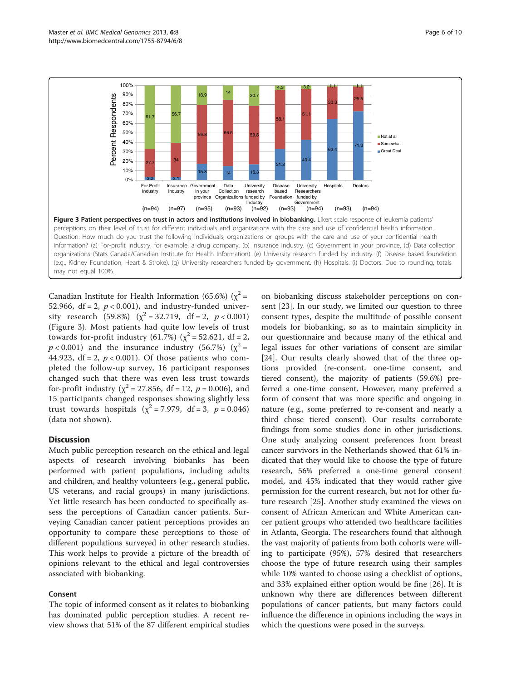<span id="page-5-0"></span>

may not equal 100%.

Canadian Institute for Health Information (65.6%) ( $\chi^2$  = 52.966,  $df = 2$ ,  $p < 0.001$ ), and industry-funded university research (59.8%) ( $\chi^2 = 32.719$ , df = 2, p < 0.001) (Figure 3). Most patients had quite low levels of trust towards for-profit industry (61.7%) ( $\chi^2$  = 52.621, df = 2,  $p < 0.001$ ) and the insurance industry (56.7%) ( $\chi^2$  = 44.923, df = 2,  $p < 0.001$ ). Of those patients who completed the follow-up survey, 16 participant responses changed such that there was even less trust towards for-profit industry ( $\chi^2$  = 27.856, df = 12, p = 0.006), and 15 participants changed responses showing slightly less trust towards hospitals ( $\chi^2$  = 7.979, df = 3, p = 0.046) (data not shown).

# **Discussion**

Much public perception research on the ethical and legal aspects of research involving biobanks has been performed with patient populations, including adults and children, and healthy volunteers (e.g., general public, US veterans, and racial groups) in many jurisdictions. Yet little research has been conducted to specifically assess the perceptions of Canadian cancer patients. Surveying Canadian cancer patient perceptions provides an opportunity to compare these perceptions to those of different populations surveyed in other research studies. This work helps to provide a picture of the breadth of opinions relevant to the ethical and legal controversies associated with biobanking.

# Consent

The topic of informed consent as it relates to biobanking has dominated public perception studies. A recent review shows that 51% of the 87 different empirical studies

on biobanking discuss stakeholder perceptions on consent [\[23\]](#page-9-0). In our study, we limited our question to three consent types, despite the multitude of possible consent models for biobanking, so as to maintain simplicity in our questionnaire and because many of the ethical and legal issues for other variations of consent are similar [[24\]](#page-9-0). Our results clearly showed that of the three options provided (re-consent, one-time consent, and tiered consent), the majority of patients (59.6%) preferred a one-time consent. However, many preferred a form of consent that was more specific and ongoing in nature (e.g., some preferred to re-consent and nearly a third chose tiered consent). Our results corroborate findings from some studies done in other jurisdictions. One study analyzing consent preferences from breast cancer survivors in the Netherlands showed that 61% indicated that they would like to choose the type of future research, 56% preferred a one-time general consent model, and 45% indicated that they would rather give permission for the current research, but not for other future research [[25](#page-9-0)]. Another study examined the views on consent of African American and White American cancer patient groups who attended two healthcare facilities in Atlanta, Georgia. The researchers found that although the vast majority of patients from both cohorts were willing to participate (95%), 57% desired that researchers choose the type of future research using their samples while 10% wanted to choose using a checklist of options, and 33% explained either option would be fine [\[26](#page-9-0)]. It is unknown why there are differences between different populations of cancer patients, but many factors could influence the difference in opinions including the ways in which the questions were posed in the surveys.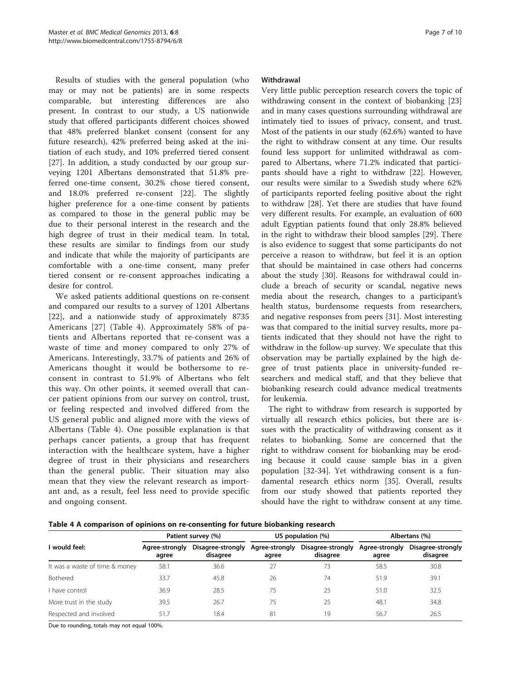Results of studies with the general population (who may or may not be patients) are in some respects comparable, but interesting differences are also present. In contrast to our study, a US nationwide study that offered participants different choices showed that 48% preferred blanket consent (consent for any future research), 42% preferred being asked at the initiation of each study, and 10% preferred tiered consent [[27\]](#page-9-0). In addition, a study conducted by our group surveying 1201 Albertans demonstrated that 51.8% preferred one-time consent, 30.2% chose tiered consent, and 18.0% preferred re-consent [\[22](#page-9-0)]. The slightly higher preference for a one-time consent by patients as compared to those in the general public may be due to their personal interest in the research and the high degree of trust in their medical team. In total, these results are similar to findings from our study and indicate that while the majority of participants are comfortable with a one-time consent, many prefer tiered consent or re-consent approaches indicating a desire for control.

We asked patients additional questions on re-consent and compared our results to a survey of 1201 Albertans [[22\]](#page-9-0), and a nationwide study of approximately 8735 Americans [[27](#page-9-0)] (Table 4). Approximately 58% of patients and Albertans reported that re-consent was a waste of time and money compared to only 27% of Americans. Interestingly, 33.7% of patients and 26% of Americans thought it would be bothersome to reconsent in contrast to 51.9% of Albertans who felt this way. On other points, it seemed overall that cancer patient opinions from our survey on control, trust, or feeling respected and involved differed from the US general public and aligned more with the views of Albertans (Table 4). One possible explanation is that perhaps cancer patients, a group that has frequent interaction with the healthcare system, have a higher degree of trust in their physicians and researchers than the general public. Their situation may also mean that they view the relevant research as important and, as a result, feel less need to provide specific and ongoing consent.

#### **Withdrawal**

Very little public perception research covers the topic of withdrawing consent in the context of biobanking [[23](#page-9-0)] and in many cases questions surrounding withdrawal are intimately tied to issues of privacy, consent, and trust. Most of the patients in our study (62.6%) wanted to have the right to withdraw consent at any time. Our results found less support for unlimited withdrawal as compared to Albertans, where 71.2% indicated that participants should have a right to withdraw [\[22](#page-9-0)]. However, our results were similar to a Swedish study where 62% of participants reported feeling positive about the right to withdraw [\[28\]](#page-9-0). Yet there are studies that have found very different results. For example, an evaluation of 600 adult Egyptian patients found that only 28.8% believed in the right to withdraw their blood samples [[29\]](#page-9-0). There is also evidence to suggest that some participants do not perceive a reason to withdraw, but feel it is an option that should be maintained in case others had concerns about the study [\[30](#page-9-0)]. Reasons for withdrawal could include a breach of security or scandal, negative news media about the research, changes to a participant's health status, burdensome requests from researchers, and negative responses from peers [[31\]](#page-9-0). Most interesting was that compared to the initial survey results, more patients indicated that they should not have the right to withdraw in the follow-up survey. We speculate that this observation may be partially explained by the high degree of trust patients place in university-funded researchers and medical staff, and that they believe that biobanking research could advance medical treatments for leukemia.

The right to withdraw from research is supported by virtually all research ethics policies, but there are issues with the practicality of withdrawing consent as it relates to biobanking. Some are concerned that the right to withdraw consent for biobanking may be eroding because it could cause sample bias in a given population [[32-34](#page-9-0)]. Yet withdrawing consent is a fundamental research ethics norm [[35\]](#page-9-0). Overall, results from our study showed that patients reported they should have the right to withdraw consent at any time.

Table 4 A comparison of opinions on re-consenting for future biobanking research

|                                | Patient survey (%)      |                               |                         | US population (%)             | Albertans (%)           |                               |
|--------------------------------|-------------------------|-------------------------------|-------------------------|-------------------------------|-------------------------|-------------------------------|
| I would feel:                  | Agree-strongly<br>agree | Disagree-strongly<br>disagree | Agree-strongly<br>agree | Disagree-strongly<br>disagree | Agree-strongly<br>agree | Disagree-strongly<br>disagree |
| It was a waste of time & money | 58.1                    | 36.6                          | 27                      | 73                            | 58.5                    | 30.8                          |
| Bothered                       | 33.7                    | 45.8                          | 26                      | 74                            | 51.9                    | 39.1                          |
| have control                   | 36.9                    | 28.5                          | 75                      | 25                            | 51.0                    | 32.5                          |
| More trust in the study        | 39.5                    | 26.7                          | 75                      | 25                            | 48.1                    | 34.8                          |
| Respected and involved         | 51.7                    | 18.4                          | 81                      | 19                            | 56.7                    | 26.5                          |

Due to rounding, totals may not equal 100%.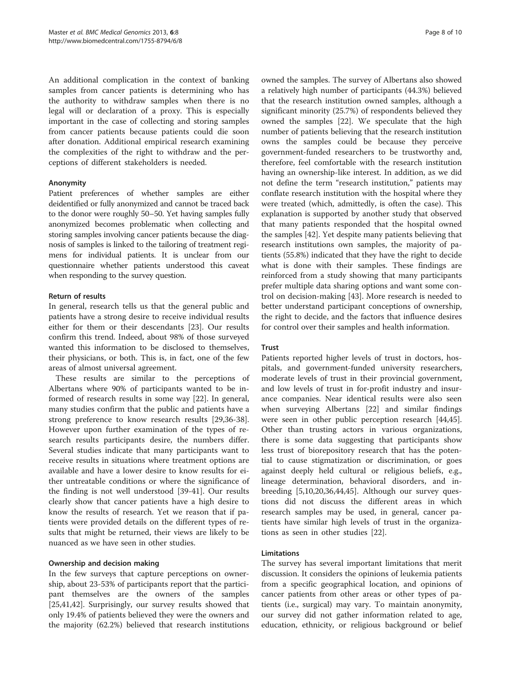An additional complication in the context of banking samples from cancer patients is determining who has the authority to withdraw samples when there is no legal will or declaration of a proxy. This is especially important in the case of collecting and storing samples from cancer patients because patients could die soon after donation. Additional empirical research examining the complexities of the right to withdraw and the perceptions of different stakeholders is needed.

#### Anonymity

Patient preferences of whether samples are either deidentified or fully anonymized and cannot be traced back to the donor were roughly 50–50. Yet having samples fully anonymized becomes problematic when collecting and storing samples involving cancer patients because the diagnosis of samples is linked to the tailoring of treatment regimens for individual patients. It is unclear from our questionnaire whether patients understood this caveat when responding to the survey question.

#### Return of results

In general, research tells us that the general public and patients have a strong desire to receive individual results either for them or their descendants [\[23](#page-9-0)]. Our results confirm this trend. Indeed, about 98% of those surveyed wanted this information to be disclosed to themselves, their physicians, or both. This is, in fact, one of the few areas of almost universal agreement.

These results are similar to the perceptions of Albertans where 90% of participants wanted to be informed of research results in some way [[22\]](#page-9-0). In general, many studies confirm that the public and patients have a strong preference to know research results [\[29,36-38](#page-9-0)]. However upon further examination of the types of research results participants desire, the numbers differ. Several studies indicate that many participants want to receive results in situations where treatment options are available and have a lower desire to know results for either untreatable conditions or where the significance of the finding is not well understood [[39-41](#page-9-0)]. Our results clearly show that cancer patients have a high desire to know the results of research. Yet we reason that if patients were provided details on the different types of results that might be returned, their views are likely to be nuanced as we have seen in other studies.

#### Ownership and decision making

In the few surveys that capture perceptions on ownership, about 23-53% of participants report that the participant themselves are the owners of the samples [[25,41,42\]](#page-9-0). Surprisingly, our survey results showed that only 19.4% of patients believed they were the owners and the majority (62.2%) believed that research institutions

owned the samples. The survey of Albertans also showed a relatively high number of participants (44.3%) believed that the research institution owned samples, although a significant minority (25.7%) of respondents believed they owned the samples [[22\]](#page-9-0). We speculate that the high number of patients believing that the research institution owns the samples could be because they perceive government-funded researchers to be trustworthy and, therefore, feel comfortable with the research institution having an ownership-like interest. In addition, as we did not define the term "research institution," patients may conflate research institution with the hospital where they were treated (which, admittedly, is often the case). This explanation is supported by another study that observed that many patients responded that the hospital owned the samples [\[42](#page-9-0)]. Yet despite many patients believing that research institutions own samples, the majority of patients (55.8%) indicated that they have the right to decide what is done with their samples. These findings are reinforced from a study showing that many participants prefer multiple data sharing options and want some control on decision-making [[43\]](#page-9-0). More research is needed to better understand participant conceptions of ownership, the right to decide, and the factors that influence desires for control over their samples and health information.

# Trust

Patients reported higher levels of trust in doctors, hospitals, and government-funded university researchers, moderate levels of trust in their provincial government, and low levels of trust in for-profit industry and insurance companies. Near identical results were also seen when surveying Albertans [\[22](#page-9-0)] and similar findings were seen in other public perception research [\[44,45](#page-9-0)]. Other than trusting actors in various organizations, there is some data suggesting that participants show less trust of biorepository research that has the potential to cause stigmatization or discrimination, or goes against deeply held cultural or religious beliefs, e.g., lineage determination, behavioral disorders, and inbreeding [\[5](#page-8-0)[,10,20,36,44,45\]](#page-9-0). Although our survey questions did not discuss the different areas in which research samples may be used, in general, cancer patients have similar high levels of trust in the organizations as seen in other studies [[22](#page-9-0)].

# Limitations

The survey has several important limitations that merit discussion. It considers the opinions of leukemia patients from a specific geographical location, and opinions of cancer patients from other areas or other types of patients (i.e., surgical) may vary. To maintain anonymity, our survey did not gather information related to age, education, ethnicity, or religious background or belief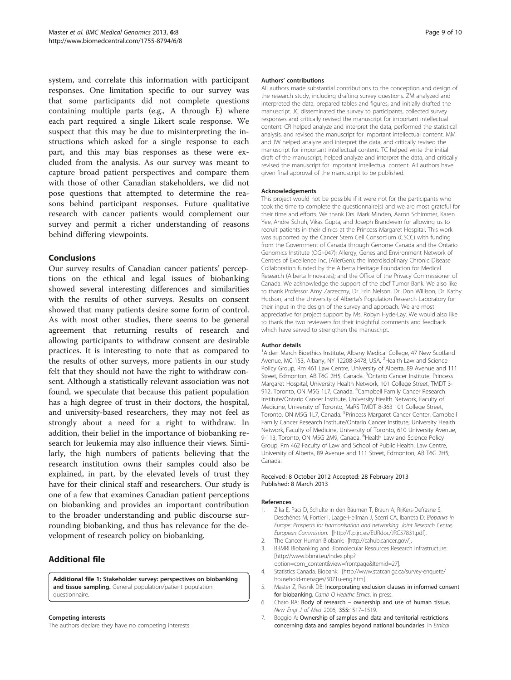<span id="page-8-0"></span>system, and correlate this information with participant responses. One limitation specific to our survey was that some participants did not complete questions containing multiple parts (e.g., A through E) where each part required a single Likert scale response. We suspect that this may be due to misinterpreting the instructions which asked for a single response to each part, and this may bias responses as these were excluded from the analysis. As our survey was meant to capture broad patient perspectives and compare them with those of other Canadian stakeholders, we did not pose questions that attempted to determine the reasons behind participant responses. Future qualitative research with cancer patients would complement our survey and permit a richer understanding of reasons behind differing viewpoints.

#### Conclusions

Our survey results of Canadian cancer patients' perceptions on the ethical and legal issues of biobanking showed several interesting differences and similarities with the results of other surveys. Results on consent showed that many patients desire some form of control. As with most other studies, there seems to be general agreement that returning results of research and allowing participants to withdraw consent are desirable practices. It is interesting to note that as compared to the results of other surveys, more patients in our study felt that they should not have the right to withdraw consent. Although a statistically relevant association was not found, we speculate that because this patient population has a high degree of trust in their doctors, the hospital, and university-based researchers, they may not feel as strongly about a need for a right to withdraw. In addition, their belief in the importance of biobanking research for leukemia may also influence their views. Similarly, the high numbers of patients believing that the research institution owns their samples could also be explained, in part, by the elevated levels of trust they have for their clinical staff and researchers. Our study is one of a few that examines Canadian patient perceptions on biobanking and provides an important contribution to the broader understanding and public discourse surrounding biobanking, and thus has relevance for the development of research policy on biobanking.

# Additional file

[Additional file 1:](http://www.biomedcentral.com/content/supplementary/1755-8794-6-8-S1.pdf) Stakeholder survey: perspectives on biobanking and tissue sampling. General population/patient population questionnaire.

#### Competing interests

The authors declare they have no competing interests.

#### Authors' contributions

All authors made substantial contributions to the conception and design of the research study, including drafting survey questions. ZM analyzed and interpreted the data, prepared tables and figures, and initially drafted the manuscript. JC disseminated the survey to participants, collected survey responses and critically revised the manuscript for important intellectual content. CR helped analyze and interpret the data, performed the statistical analysis, and revised the manuscript for important intellectual content. MM and JW helped analyze and interpret the data, and critically revised the manuscript for important intellectual content. TC helped write the initial draft of the manuscript, helped analyze and interpret the data, and critically revised the manuscript for important intellectual content. All authors have given final approval of the manuscript to be published.

#### Acknowledgements

This project would not be possible if it were not for the participants who took the time to complete the questionnaire(s) and we are most grateful for their time and efforts. We thank Drs. Mark Minden, Aaron Schimmer, Karen Yee, Andre Schuh, Vikas Gupta, and Joseph Brandwein for allowing us to recruit patients in their clinics at the Princess Margaret Hospital. This work was supported by the Cancer Stem Cell Consortium (CSCC) with funding from the Government of Canada through Genome Canada and the Ontario Genomics Institute (OGI-047); Allergy, Genes and Environment Network of Centres of Excellence Inc. (AllerGen); the Interdisciplinary Chronic Disease Collaboration funded by the Alberta Heritage Foundation for Medical Research (Alberta Innovates); and the Office of the Privacy Commissioner of Canada. We acknowledge the support of the cbcf Tumor Bank. We also like to thank Professor Amy Zarzeczny, Dr. Erin Nelson, Dr. Don Willison, Dr. Kathy Hudson, and the University of Alberta's Population Research Laboratory for their input in the design of the survey and approach. We are most appreciative for project support by Ms. Robyn Hyde-Lay. We would also like to thank the two reviewers for their insightful comments and feedback which have served to strengthen the manuscript.

#### Author details

<sup>1</sup> Alden March Bioethics Institute, Albany Medical College, 47 New Scotland Avenue, MC 153, Albany, NY 12208-3478, USA. <sup>2</sup>Health Law and Science Policy Group, Rm 461 Law Centre, University of Alberta, 89 Avenue and 111 Street, Edmonton, AB T6G 2H5, Canada. <sup>3</sup>Ontario Cancer Institute, Princess Margaret Hospital, University Health Network, 101 College Street, TMDT 3- 912, Toronto, ON M5G 1L7, Canada. <sup>4</sup>Campbell Family Cancer Research Institute/Ontario Cancer Institute, University Health Network, Faculty of Medicine, University of Toronto, MaRS TMDT 8-363 101 College Street, Toronto, ON M5G 1L7, Canada. <sup>5</sup>Princess Margaret Cancer Center, Campbell Family Cancer Research Institute/Ontario Cancer Institute, University Health Network, Faculty of Medicine, University of Toronto, 610 University Avenue, 9-113, Toronto, ON M5G 2M9, Canada. <sup>6</sup> Health Law and Science Policy Group, Rm 462 Faculty of Law and School of Public Health, Law Centre, University of Alberta, 89 Avenue and 111 Street, Edmonton, AB T6G 2H5, Canada.

#### Received: 8 October 2012 Accepted: 28 February 2013 Published: 8 March 2013

#### References

- 1. Zika E, Paci D, Schulte in den Bäumen T, Braun A, RijKers-Defrasne S, Deschênes M, Fortier I, Laage-Hellman J, Scerri CA, Ibarreta D: Biobanks in Europe: Prospects for harmonisation and networking. Joint Research Centre, European Commission. [<http://ftp.jrc.es/EURdoc/JRC57831.pdf>].
- 2. The Cancer Human Biobank: [\[http://cahub.cancer.gov/](http://cahub.cancer.gov/)].
- 3. BBMRI Biobanking and Biomolecular Resources Research Infrastructure: [[http://www.bbmri.eu/index.php?](http://www.bbmri.eu/index.php?option=com_content&view=frontpage&Itemid=27)
- [option=com\\_content&view=frontpage&Itemid=27\]](http://www.bbmri.eu/index.php?option=com_content&view=frontpage&Itemid=27). 4. Statistics Canada. Biobank: [[http://www.statcan.gc.ca/survey-enquete/](http://www.statcan.gc.ca/survey-enquete/household-menages/5071u-eng.htm) [household-menages/5071u-eng.htm\]](http://www.statcan.gc.ca/survey-enquete/household-menages/5071u-eng.htm).
- 5. Master Z, Resnik DB: Incorporating exclusion clauses in informed consent for biobanking. Camb Q Healthc Ethics. in press.
- 6. Charo RA: Body of research ownership and use of human tissue. New Engl J of Med 2006, 355:1517–1519.
- 7. Boggio A: Ownership of samples and data and territorial restrictions concerning data and samples beyond national boundaries. In Ethical